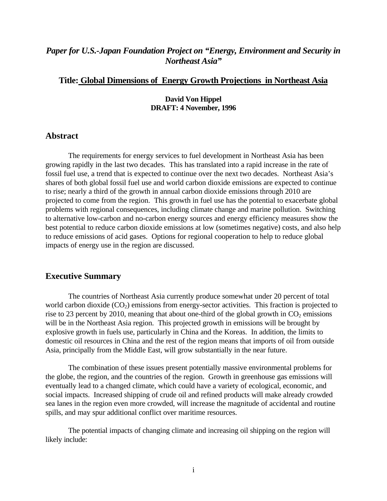# *Paper for U.S.-Japan Foundation Project on "Energy, Environment and Security in Northeast Asia"*

# **Title: Global Dimensions of Energy Growth Projections in Northeast Asia**

#### **David Von Hippel DRAFT: 4 November, 1996**

## **Abstract**

The requirements for energy services to fuel development in Northeast Asia has been growing rapidly in the last two decades. This has translated into a rapid increase in the rate of fossil fuel use, a trend that is expected to continue over the next two decades. Northeast Asia's shares of both global fossil fuel use and world carbon dioxide emissions are expected to continue to rise; nearly a third of the growth in annual carbon dioxide emissions through 2010 are projected to come from the region. This growth in fuel use has the potential to exacerbate global problems with regional consequences, including climate change and marine pollution. Switching to alternative low-carbon and no-carbon energy sources and energy efficiency measures show the best potential to reduce carbon dioxide emissions at low (sometimes negative) costs, and also help to reduce emissions of acid gases. Options for regional cooperation to help to reduce global impacts of energy use in the region are discussed.

#### **Executive Summary**

The countries of Northeast Asia currently produce somewhat under 20 percent of total world carbon dioxide  $(CO_2)$  emissions from energy-sector activities. This fraction is projected to rise to 23 percent by 2010, meaning that about one-third of the global growth in  $CO<sub>2</sub>$  emissions will be in the Northeast Asia region. This projected growth in emissions will be brought by explosive growth in fuels use, particularly in China and the Koreas. In addition, the limits to domestic oil resources in China and the rest of the region means that imports of oil from outside Asia, principally from the Middle East, will grow substantially in the near future.

The combination of these issues present potentially massive environmental problems for the globe, the region, and the countries of the region. Growth in greenhouse gas emissions will eventually lead to a changed climate, which could have a variety of ecological, economic, and social impacts. Increased shipping of crude oil and refined products will make already crowded sea lanes in the region even more crowded, will increase the magnitude of accidental and routine spills, and may spur additional conflict over maritime resources.

The potential impacts of changing climate and increasing oil shipping on the region will likely include: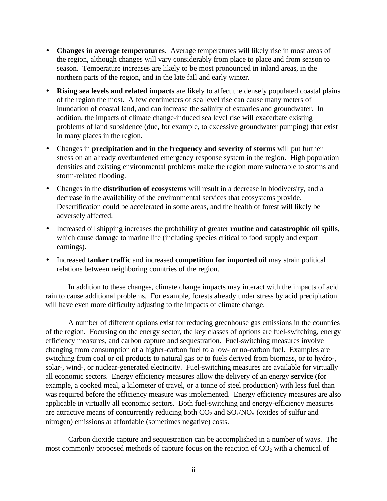- **Changes in average temperatures**. Average temperatures will likely rise in most areas of the region, although changes will vary considerably from place to place and from season to season. Temperature increases are likely to be most pronounced in inland areas, in the northern parts of the region, and in the late fall and early winter.
- **Rising sea levels and related impacts** are likely to affect the densely populated coastal plains of the region the most. A few centimeters of sea level rise can cause many meters of inundation of coastal land, and can increase the salinity of estuaries and groundwater. In addition, the impacts of climate change-induced sea level rise will exacerbate existing problems of land subsidence (due, for example, to excessive groundwater pumping) that exist in many places in the region.
- Changes in **precipitation and in the frequency and severity of storms** will put further stress on an already overburdened emergency response system in the region. High population densities and existing environmental problems make the region more vulnerable to storms and storm-related flooding.
- Changes in the **distribution of ecosystems** will result in a decrease in biodiversity, and a decrease in the availability of the environmental services that ecosystems provide. Desertification could be accelerated in some areas, and the health of forest will likely be adversely affected.
- Increased oil shipping increases the probability of greater **routine and catastrophic oil spills**, which cause damage to marine life (including species critical to food supply and export earnings).
- Increased **tanker traffic** and increased **competition for imported oil** may strain political relations between neighboring countries of the region.

In addition to these changes, climate change impacts may interact with the impacts of acid rain to cause additional problems. For example, forests already under stress by acid precipitation will have even more difficulty adjusting to the impacts of climate change.

A number of different options exist for reducing greenhouse gas emissions in the countries of the region. Focusing on the energy sector, the key classes of options are fuel-switching, energy efficiency measures, and carbon capture and sequestration. Fuel-switching measures involve changing from consumption of a higher-carbon fuel to a low- or no-carbon fuel. Examples are switching from coal or oil products to natural gas or to fuels derived from biomass, or to hydro-, solar-, wind-, or nuclear-generated electricity. Fuel-switching measures are available for virtually all economic sectors. Energy efficiency measures allow the delivery of an energy **service** (for example, a cooked meal, a kilometer of travel, or a tonne of steel production) with less fuel than was required before the efficiency measure was implemented. Energy efficiency measures are also applicable in virtually all economic sectors. Both fuel-switching and energy-efficiency measures are attractive means of concurrently reducing both  $CO_2$  and  $SO_x/NO_x$  (oxides of sulfur and nitrogen) emissions at affordable (sometimes negative) costs.

Carbon dioxide capture and sequestration can be accomplished in a number of ways. The most commonly proposed methods of capture focus on the reaction of  $CO<sub>2</sub>$  with a chemical of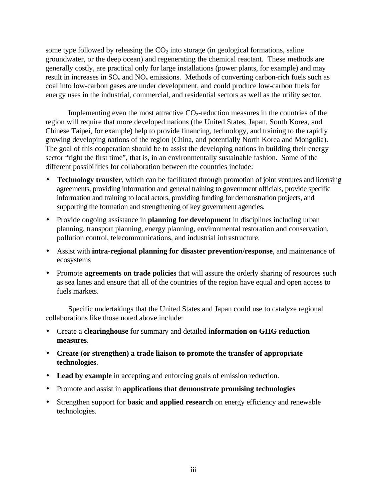some type followed by releasing the  $CO<sub>2</sub>$  into storage (in geological formations, saline groundwater, or the deep ocean) and regenerating the chemical reactant. These methods are generally costly, are practical only for large installations (power plants, for example) and may result in increases in  $SO_x$  and  $NO_x$  emissions. Methods of converting carbon-rich fuels such as coal into low-carbon gases are under development, and could produce low-carbon fuels for energy uses in the industrial, commercial, and residential sectors as well as the utility sector.

Implementing even the most attractive  $CO<sub>2</sub>$ -reduction measures in the countries of the region will require that more developed nations (the United States, Japan, South Korea, and Chinese Taipei, for example) help to provide financing, technology, and training to the rapidly growing developing nations of the region (China, and potentially North Korea and Mongolia). The goal of this cooperation should be to assist the developing nations in building their energy sector "right the first time", that is, in an environmentally sustainable fashion. Some of the different possibilities for collaboration between the countries include:

- **Technology transfer**, which can be facilitated through promotion of joint ventures and licensing agreements, providing information and general training to government officials, provide specific information and training to local actors, providing funding for demonstration projects, and supporting the formation and strengthening of key government agencies.
- Provide ongoing assistance in **planning for development** in disciplines including urban planning, transport planning, energy planning, environmental restoration and conservation, pollution control, telecommunications, and industrial infrastructure.
- Assist with **intra-regional planning for disaster prevention/response**, and maintenance of ecosystems
- Promote **agreements on trade policies** that will assure the orderly sharing of resources such as sea lanes and ensure that all of the countries of the region have equal and open access to fuels markets.

Specific undertakings that the United States and Japan could use to catalyze regional collaborations like those noted above include:

- Create a **clearinghouse** for summary and detailed **information on GHG reduction measures**.
- **Create (or strengthen) a trade liaison to promote the transfer of appropriate technologies**.
- **Lead by example** in accepting and enforcing goals of emission reduction.
- Promote and assist in **applications that demonstrate promising technologies**
- Strengthen support for **basic and applied research** on energy efficiency and renewable technologies.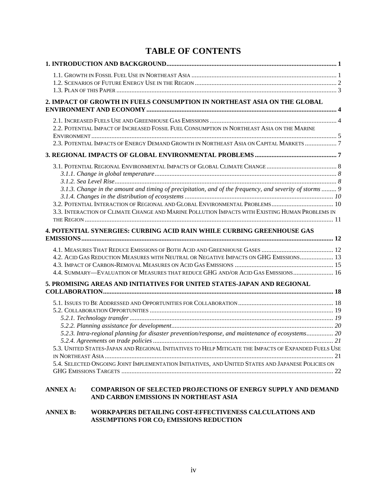# **TABLE OF CONTENTS**

| 2. IMPACT OF GROWTH IN FUELS CONSUMPTION IN NORTHEAST ASIA ON THE GLOBAL                                                                                                                                                                                                                                        |  |
|-----------------------------------------------------------------------------------------------------------------------------------------------------------------------------------------------------------------------------------------------------------------------------------------------------------------|--|
|                                                                                                                                                                                                                                                                                                                 |  |
| 2.2. POTENTIAL IMPACT OF INCREASED FOSSIL FUEL CONSUMPTION IN NORTHEAST ASIA ON THE MARINE                                                                                                                                                                                                                      |  |
| 2.3. POTENTIAL IMPACTS OF ENERGY DEMAND GROWTH IN NORTHEAST ASIA ON CAPITAL MARKETS 7                                                                                                                                                                                                                           |  |
|                                                                                                                                                                                                                                                                                                                 |  |
| 3.1.3. Change in the amount and timing of precipitation, and of the frequency, and severity of storms  9                                                                                                                                                                                                        |  |
|                                                                                                                                                                                                                                                                                                                 |  |
| 3.2. POTENTIAL INTERACTION OF REGIONAL AND GLOBAL ENVIRONMENTAL PROBLEMS 10                                                                                                                                                                                                                                     |  |
| 3.3. INTERACTION OF CLIMATE CHANGE AND MARINE POLLUTION IMPACTS WITH EXISTING HUMAN PROBLEMS IN                                                                                                                                                                                                                 |  |
| <b>4. POTENTIAL SYNERGIES: CURBING ACID RAIN WHILE CURBING GREENHOUSE GAS</b>                                                                                                                                                                                                                                   |  |
| 4.2. ACID GAS REDUCTION MEASURES WITH NEUTRAL OR NEGATIVE IMPACTS ON GHG EMISSIONS 13<br>4.4. SUMMARY—EVALUATION OF MEASURES THAT REDUCE GHG AND/OR ACID GAS EMISSIONS  16                                                                                                                                      |  |
| 5. PROMISING AREAS AND INITIATIVES FOR UNITED STATES-JAPAN AND REGIONAL                                                                                                                                                                                                                                         |  |
| 5.2.3. Intra-regional planning for disaster prevention/response, and maintenance of ecosystems 20<br>5.3. UNITED STATES-JAPAN AND REGIONAL INITIATIVES TO HELP MITIGATE THE IMPACTS OF EXPANDED FUELS USE<br>5.4. SELECTED ONGOING JOINT IMPLEMENTATION INITIATIVES, AND UNITED STATES AND JAPANESE POLICIES ON |  |
| <b>ANNEX A:</b><br><b>COMPARISON OF SELECTED PROJECTIONS OF ENERGY SUPPLY AND DEMAND</b>                                                                                                                                                                                                                        |  |

## **ANNEX B: WORKPAPERS DETAILING COST-EFFECTIVENESS CALCULATIONS AND ASSUMPTIONS FOR CO2 EMISSIONS REDUCTION**

**AND CARBON EMISSIONS IN NORTHEAST ASIA**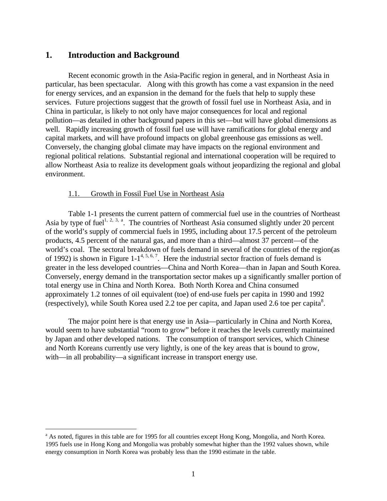## **1. Introduction and Background**

<u>.</u>

Recent economic growth in the Asia-Pacific region in general, and in Northeast Asia in particular, has been spectacular. Along with this growth has come a vast expansion in the need for energy services, and an expansion in the demand for the fuels that help to supply these services. Future projections suggest that the growth of fossil fuel use in Northeast Asia, and in China in particular, is likely to not only have major consequences for local and regional pollution—as detailed in other background papers in this set—but will have global dimensions as well. Rapidly increasing growth of fossil fuel use will have ramifications for global energy and capital markets, and will have profound impacts on global greenhouse gas emissions as well. Conversely, the changing global climate may have impacts on the regional environment and regional political relations. Substantial regional and international cooperation will be required to allow Northeast Asia to realize its development goals without jeopardizing the regional and global environment.

#### 1.1. Growth in Fossil Fuel Use in Northeast Asia

Table 1-1 presents the current pattern of commercial fuel use in the countries of Northeast Asia by type of fuel<sup>1, 2, 3, a</sup>. The countries of Northeast Asia consumed slightly under 20 percent of the world's supply of commercial fuels in 1995, including about 17.5 percent of the petroleum products, 4.5 percent of the natural gas, and more than a third—almost 37 percent—of the world's coal. The sectoral breakdown of fuels demand in several of the countries of the region(as of 1992) is shown in Figure 1-1<sup>4, 5, 6, 7</sup>. Here the industrial sector fraction of fuels demand is greater in the less developed countries—China and North Korea—than in Japan and South Korea. Conversely, energy demand in the transportation sector makes up a significantly smaller portion of total energy use in China and North Korea. Both North Korea and China consumed approximately 1.2 tonnes of oil equivalent (toe) of end-use fuels per capita in 1990 and 1992 (respectively), while South Korea used 2.2 toe per capita, and Japan used 2.6 toe per capita $^8$ .

The major point here is that energy use in Asia—particularly in China and North Korea, would seem to have substantial "room to grow" before it reaches the levels currently maintained by Japan and other developed nations. The consumption of transport services, which Chinese and North Koreans currently use very lightly, is one of the key areas that is bound to grow, with—in all probability—a significant increase in transport energy use.

<sup>&</sup>lt;sup>a</sup> As noted, figures in this table are for 1995 for all countries except Hong Kong, Mongolia, and North Korea. 1995 fuels use in Hong Kong and Mongolia was probably somewhat higher than the 1992 values shown, while energy consumption in North Korea was probably less than the 1990 estimate in the table.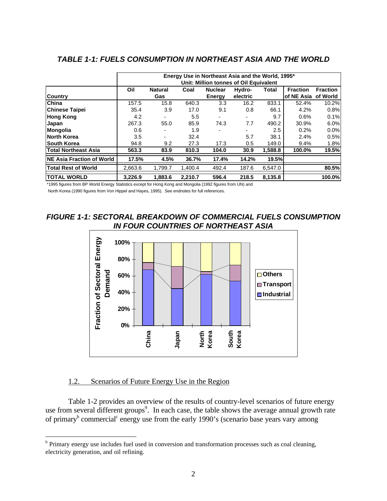|                                   | Energy Use in Northeast Asia and the World, 1995*<br>Unit: Million tonnes of Oil Equivalent |                |         |                |          |         |                       |                 |
|-----------------------------------|---------------------------------------------------------------------------------------------|----------------|---------|----------------|----------|---------|-----------------------|-----------------|
|                                   | Oil                                                                                         | <b>Natural</b> | Coal    | <b>Nuclear</b> | Hydro-   | Total   | <b>Fraction</b>       | <b>Fraction</b> |
| <b>Country</b>                    |                                                                                             | <b>Gas</b>     |         | <b>Energy</b>  | electric |         | lof NE Asia  of World |                 |
| China                             | 157.5                                                                                       | 15.8           | 640.3   | 3.3            | 16.2     | 833.1   | 52.4%                 | 10.2%           |
| <b>Chinese Taipei</b>             | 35.4                                                                                        | 3.9            | 17.0    | 9.1            | 0.8      | 66.1    | 4.2%                  | 0.8%            |
| <b>Hong Kong</b>                  | 4.2                                                                                         |                | 5.5     |                |          | 9.7     | 0.6%                  | 0.1%            |
| Japan                             | 267.3                                                                                       | 55.0           | 85.9    | 74.3           | 7.7      | 490.2   | 30.9%                 | 6.0%            |
| Mongolia                          | 0.6                                                                                         |                | 1.9     |                |          | 2.5     | 0.2%                  | 0.0%            |
| <b>North Korea</b>                | 3.5                                                                                         | ٠              | 32.4    |                | 5.7      | 38.1    | 2.4%                  | 0.5%            |
| <b>South Korea</b>                | 94.8                                                                                        | 9.2            | 27.3    | 17.3           | 0.5      | 149.0   | 9.4%                  | 1.8%            |
| <b>Total Northeast Asia</b>       | 563.3                                                                                       | 83.9           | 810.3   | 104.0          | 30.9     | 1,588.8 | 100.0%                | 19.5%           |
| <b>INE Asia Fraction of World</b> | 17.5%                                                                                       | 4.5%           | 36.7%   | 17.4%          | 14.2%    | 19.5%   |                       |                 |
| <b>Total Rest of World</b>        | 2,663.6                                                                                     | 1,799.7        | 1.400.4 | 492.4          | 187.6    | 6.547.0 |                       | 80.5%           |
| <b>ITOTAL WORLD</b>               | 3.226.9                                                                                     | 1.883.6        | 2.210.7 | 596.4          | 218.5    | 8,135.8 |                       | $100.0\%$       |

### *TABLE 1-1: FUELS CONSUMPTION IN NORTHEAST ASIA AND THE WORLD*

\*1995 figures from BP World Energy Statistics except for Hong Kong and Mongolia (1992 figures from UN) and

North Korea (1990 figures from Von Hippel and Hayes, 1995). See endnotes for full references.

## *FIGURE 1-1: SECTORAL BREAKDOWN OF COMMERCIAL FUELS CONSUMPTION IN FOUR COUNTRIES OF NORTHEAST ASIA*



#### 1.2. Scenarios of Future Energy Use in the Region

Table 1-2 provides an overview of the results of country-level scenarios of future energy use from several different groups<sup>9</sup>. In each case, the table shows the average annual growth rate of primary<sup>b</sup> commercial<sup>c</sup> energy use from the early 1990's (scenario base years vary among

<sup>&</sup>lt;sup>b</sup><br><sup>b</sup> Primary energy use includes fuel used in conversion and transformation processes such as coal cleaning, electricity generation, and oil refining.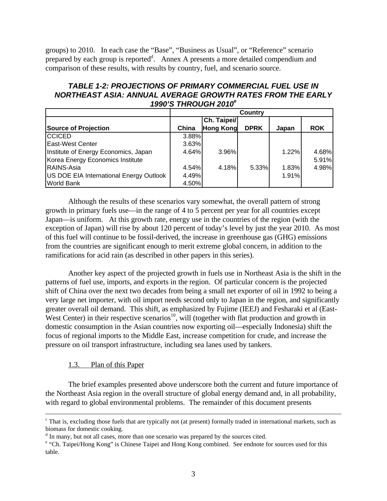groups) to 2010. In each case the "Base", "Business as Usual", or "Reference" scenario prepared by each group is reported<sup>d</sup>. Annex A presents a more detailed compendium and comparison of these results, with results by country, fuel, and scenario source.

## *TABLE 1-2: PROJECTIONS OF PRIMARY COMMERCIAL FUEL USE IN NORTHEAST ASIA: ANNUAL AVERAGE GROWTH RATES FROM THE EARLY 1990'S THROUGH 2010<sup>e</sup>*

|                                         | Country |                  |             |       |            |
|-----------------------------------------|---------|------------------|-------------|-------|------------|
|                                         |         | Ch. Taipei/      |             |       |            |
| <b>Source of Projection</b>             | China   | <b>Hong Kong</b> | <b>DPRK</b> | Japan | <b>ROK</b> |
| <b>CCICED</b>                           | 3.88%   |                  |             |       |            |
| <b>East-West Center</b>                 | 3.63%   |                  |             |       |            |
| Institute of Energy Economics, Japan    | 4.64%   | 3.96%            |             | 1.22% | 4.68%      |
| Korea Energy Economics Institute        |         |                  |             |       | 5.91%      |
| <b>RAINS-Asia</b>                       | 4.54%   | 4.18%            | 5.33%       | 1.83% | 4.98%      |
| US DOE EIA International Energy Outlook | 4.49%   |                  |             | 1.91% |            |
| World Bank                              | 4.50%   |                  |             |       |            |

Although the results of these scenarios vary somewhat, the overall pattern of strong growth in primary fuels use—in the range of 4 to 5 percent per year for all countries except Japan—is uniform. At this growth rate, energy use in the countries of the region (with the exception of Japan) will rise by about 120 percent of today's level by just the year 2010. As most of this fuel will continue to be fossil-derived, the increase in greenhouse gas (GHG) emissions from the countries are significant enough to merit extreme global concern, in addition to the ramifications for acid rain (as described in other papers in this series).

Another key aspect of the projected growth in fuels use in Northeast Asia is the shift in the patterns of fuel use, imports, and exports in the region. Of particular concern is the projected shift of China over the next two decades from being a small net exporter of oil in 1992 to being a very large net importer, with oil import needs second only to Japan in the region, and significantly greater overall oil demand. This shift, as emphasized by Fujime (IEEJ) and Fesharaki et al (East-West Center) in their respective scenarios<sup>10</sup>, will (together with flat production and growth in domestic consumption in the Asian countries now exporting oil—especially Indonesia) shift the focus of regional imports to the Middle East, increase competition for crude, and increase the pressure on oil transport infrastructure, including sea lanes used by tankers.

### 1.3. Plan of this Paper

 $\overline{a}$ 

The brief examples presented above underscore both the current and future importance of the Northeast Asia region in the overall structure of global energy demand and, in all probability, with regard to global environmental problems. The remainder of this document presents

<sup>&</sup>lt;sup>c</sup> That is, excluding those fuels that are typically not (at present) formally traded in international markets, such as biomass for domestic cooking.

<sup>&</sup>lt;sup>d</sup> In many, but not all cases, more than one scenario was prepared by the sources cited.

e "Ch. Taipei/Hong Kong" is Chinese Taipei and Hong Kong combined. See endnote for sources used for this table.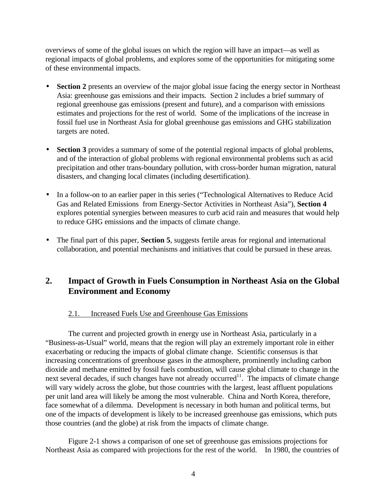overviews of some of the global issues on which the region will have an impact—as well as regional impacts of global problems, and explores some of the opportunities for mitigating some of these environmental impacts.

- **Section 2** presents an overview of the major global issue facing the energy sector in Northeast Asia: greenhouse gas emissions and their impacts. Section 2 includes a brief summary of regional greenhouse gas emissions (present and future), and a comparison with emissions estimates and projections for the rest of world. Some of the implications of the increase in fossil fuel use in Northeast Asia for global greenhouse gas emissions and GHG stabilization targets are noted.
- **Section 3** provides a summary of some of the potential regional impacts of global problems, and of the interaction of global problems with regional environmental problems such as acid precipitation and other trans-boundary pollution, with cross-border human migration, natural disasters, and changing local climates (including desertification).
- In a follow-on to an earlier paper in this series ("Technological Alternatives to Reduce Acid Gas and Related Emissions from Energy-Sector Activities in Northeast Asia"), **Section 4** explores potential synergies between measures to curb acid rain and measures that would help to reduce GHG emissions and the impacts of climate change.
- The final part of this paper, **Section 5**, suggests fertile areas for regional and international collaboration, and potential mechanisms and initiatives that could be pursued in these areas.

# **2. Impact of Growth in Fuels Consumption in Northeast Asia on the Global Environment and Economy**

#### 2.1. Increased Fuels Use and Greenhouse Gas Emissions

The current and projected growth in energy use in Northeast Asia, particularly in a "Business-as-Usual" world, means that the region will play an extremely important role in either exacerbating or reducing the impacts of global climate change. Scientific consensus is that increasing concentrations of greenhouse gases in the atmosphere, prominently including carbon dioxide and methane emitted by fossil fuels combustion, will cause global climate to change in the next several decades, if such changes have not already occurred<sup>11</sup>. The impacts of climate change will vary widely across the globe, but those countries with the largest, least affluent populations per unit land area will likely be among the most vulnerable. China and North Korea, therefore, face somewhat of a dilemma. Development is necessary in both human and political terms, but one of the impacts of development is likely to be increased greenhouse gas emissions, which puts those countries (and the globe) at risk from the impacts of climate change.

Figure 2-1 shows a comparison of one set of greenhouse gas emissions projections for Northeast Asia as compared with projections for the rest of the world. In 1980, the countries of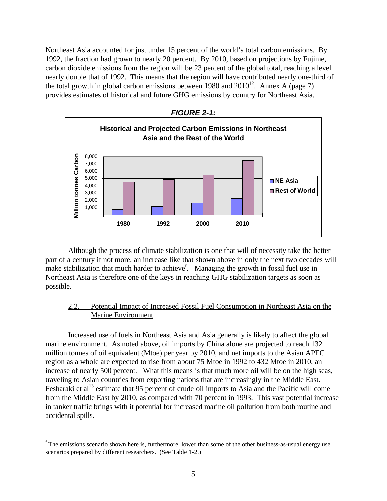Northeast Asia accounted for just under 15 percent of the world's total carbon emissions. By 1992, the fraction had grown to nearly 20 percent. By 2010, based on projections by Fujime, carbon dioxide emissions from the region will be 23 percent of the global total, reaching a level nearly double that of 1992. This means that the region will have contributed nearly one-third of the total growth in global carbon emissions between 1980 and  $2010^{12}$ . Annex A (page 7) provides estimates of historical and future GHG emissions by country for Northeast Asia.



Although the process of climate stabilization is one that will of necessity take the better part of a century if not more, an increase like that shown above in only the next two decades will make stabilization that much harder to achieve<sup>f</sup>. Managing the growth in fossil fuel use in Northeast Asia is therefore one of the keys in reaching GHG stabilization targets as soon as possible.

#### 2.2. Potential Impact of Increased Fossil Fuel Consumption in Northeast Asia on the Marine Environment

Increased use of fuels in Northeast Asia and Asia generally is likely to affect the global marine environment. As noted above, oil imports by China alone are projected to reach 132 million tonnes of oil equivalent (Mtoe) per year by 2010, and net imports to the Asian APEC region as a whole are expected to rise from about 75 Mtoe in 1992 to 432 Mtoe in 2010, an increase of nearly 500 percent. What this means is that much more oil will be on the high seas, traveling to Asian countries from exporting nations that are increasingly in the Middle East. Fesharaki et al<sup>13</sup> estimate that 95 percent of crude oil imports to Asia and the Pacific will come from the Middle East by 2010, as compared with 70 percent in 1993. This vast potential increase in tanker traffic brings with it potential for increased marine oil pollution from both routine and accidental spills.

<sup>&</sup>lt;sup>f</sup> The emissions scenario shown here is, furthermore, lower than some of the other business-as-usual energy use scenarios prepared by different researchers. (See Table 1-2.)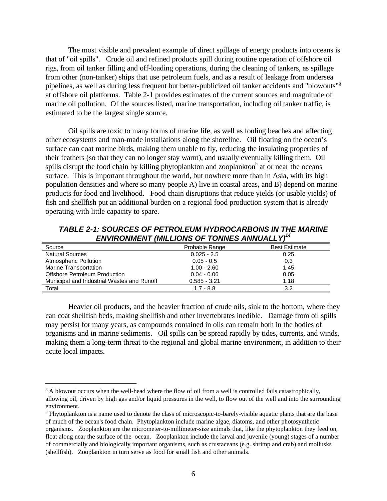The most visible and prevalent example of direct spillage of energy products into oceans is that of "oil spills". Crude oil and refined products spill during routine operation of offshore oil rigs, from oil tanker filling and off-loading operations, during the cleaning of tankers, as spillage from other (non-tanker) ships that use petroleum fuels, and as a result of leakage from undersea pipelines, as well as during less frequent but better-publicized oil tanker accidents and "blowouts"<sup>g</sup> at offshore oil platforms. Table 2-1 provides estimates of the current sources and magnitude of marine oil pollution. Of the sources listed, marine transportation, including oil tanker traffic, is estimated to be the largest single source.

Oil spills are toxic to many forms of marine life, as well as fouling beaches and affecting other ecosystems and man-made installations along the shoreline. Oil floating on the ocean's surface can coat marine birds, making them unable to fly, reducing the insulating properties of their feathers (so that they can no longer stay warm), and usually eventually killing them. Oil spills disrupt the food chain by killing phytoplankton and zooplankton<sup>h</sup> at or near the oceans surface. This is important throughout the world, but nowhere more than in Asia, with its high population densities and where so many people A) live in coastal areas, and B) depend on marine products for food and livelihood. Food chain disruptions that reduce yields (or usable yields) of fish and shellfish put an additional burden on a regional food production system that is already operating with little capacity to spare.

*TABLE 2-1: SOURCES OF PETROLEUM HYDROCARBONS IN THE MARINE ENVIRONMENT (MILLIONS OF TONNES ANNUALLY)<sup>14</sup>*

| Source                                     | Probable Range | <b>Best Estimate</b> |
|--------------------------------------------|----------------|----------------------|
| <b>Natural Sources</b>                     | $0.025 - 2.5$  | 0.25                 |
| Atmospheric Pollution                      | $0.05 - 0.5$   | 0.3                  |
| Marine Transportation                      | $1.00 - 2.60$  | 1.45                 |
| Offshore Petroleum Production              | $0.04 - 0.06$  | 0.05                 |
| Municipal and Industrial Wastes and Runoff | $0.585 - 3.21$ | 1.18                 |
| Total                                      | $1.7 - 8.8$    | 3.2                  |

Heavier oil products, and the heavier fraction of crude oils, sink to the bottom, where they can coat shellfish beds, making shellfish and other invertebrates inedible. Damage from oil spills may persist for many years, as compounds contained in oils can remain both in the bodies of organisms and in marine sediments. Oil spills can be spread rapidly by tides, currents, and winds, making them a long-term threat to the regional and global marine environment, in addition to their acute local impacts.

<sup>&</sup>lt;sup>g</sup> A blowout occurs when the well-head where the flow of oil from a well is controlled fails catastrophically, allowing oil, driven by high gas and/or liquid pressures in the well, to flow out of the well and into the surrounding environment.

<sup>&</sup>lt;sup>h</sup> Phytoplankton is a name used to denote the class of microscopic-to-barely-visible aquatic plants that are the base of much of the ocean's food chain. Phytoplankton include marine algae, diatoms, and other photosynthetic organisms. Zooplankton are the micrometer-to-millimeter-size animals that, like the phytoplankton they feed on, float along near the surface of the ocean. Zooplankton include the larval and juvenile (young) stages of a number of commercially and biologically important organisms, such as crustaceans (e.g. shrimp and crab) and mollusks (shellfish). Zooplankton in turn serve as food for small fish and other animals.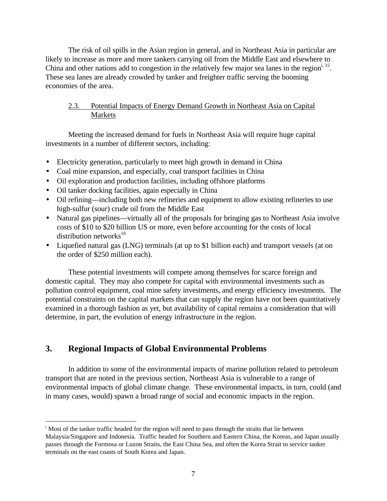The risk of oil spills in the Asian region in general, and in Northeast Asia in particular are likely to increase as more and more tankers carrying oil from the Middle East and elsewhere to China and other nations add to congestion in the relatively few major sea lanes in the region<sup>i, 15</sup>. These sea lanes are already crowded by tanker and freighter traffic serving the booming economies of the area.

### 2.3. Potential Impacts of Energy Demand Growth in Northeast Asia on Capital Markets

Meeting the increased demand for fuels in Northeast Asia will require huge capital investments in a number of different sectors, including:

- Electricity generation, particularly to meet high growth in demand in China
- Coal mine expansion, and especially, coal transport facilities in China
- Oil exploration and production facilities, including offshore platforms
- Oil tanker docking facilities, again especially in China
- Oil refining—including both new refineries and equipment to allow existing refineries to use high-sulfur (sour) crude oil from the Middle East
- Natural gas pipelines—virtually all of the proposals for bringing gas to Northeast Asia involve costs of \$10 to \$20 billion US or more, even before accounting for the costs of local distribution networks $^{16}$
- Liquefied natural gas (LNG) terminals (at up to \$1 billion each) and transport vessels (at on the order of \$250 million each).

These potential investments will compete among themselves for scarce foreign and domestic capital. They may also compete for capital with environmental investments such as pollution control equipment, coal mine safety investments, and energy efficiency investments. The potential constraints on the capital markets that can supply the region have not been quantitatively examined in a thorough fashion as yet, but availability of capital remains a consideration that will determine, in part, the evolution of energy infrastructure in the region.

# **3. Regional Impacts of Global Environmental Problems**

In addition to some of the environmental impacts of marine pollution related to petroleum transport that are noted in the previous section, Northeast Asia is vulnerable to a range of environmental impacts of global climate change. These environmental impacts, in turn, could (and in many cases, would) spawn a broad range of social and economic impacts in the region.

<sup>&</sup>lt;u>.</u> <sup>i</sup> Most of the tanker traffic headed for the region will need to pass through the straits that lie between Malaysia/Singapore and Indonesia. Traffic headed for Southern and Eastern China, the Koreas, and Japan usually passes through the Formosa or Luzon Straits, the East China Sea, and often the Korea Strait to service tanker terminals on the east coasts of South Korea and Japan.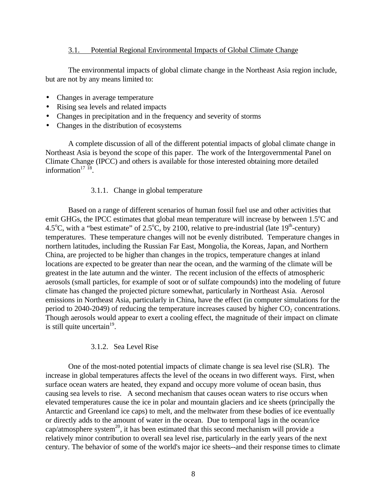#### 3.1. Potential Regional Environmental Impacts of Global Climate Change

The environmental impacts of global climate change in the Northeast Asia region include, but are not by any means limited to:

- Changes in average temperature
- Rising sea levels and related impacts
- Changes in precipitation and in the frequency and severity of storms
- Changes in the distribution of ecosystems

A complete discussion of all of the different potential impacts of global climate change in Northeast Asia is beyond the scope of this paper. The work of the Intergovernmental Panel on Climate Change (IPCC) and others is available for those interested obtaining more detailed information $17^{18}$ .

#### 3.1.1. Change in global temperature

Based on a range of different scenarios of human fossil fuel use and other activities that emit GHGs, the IPCC estimates that global mean temperature will increase by between  $1.5^{\circ}$ C and 4.5<sup>o</sup>C, with a "best estimate" of 2.5<sup>o</sup>C, by 2100, relative to pre-industrial (late 19<sup>th</sup>-century) temperatures. These temperature changes will not be evenly distributed. Temperature changes in northern latitudes, including the Russian Far East, Mongolia, the Koreas, Japan, and Northern China, are projected to be higher than changes in the tropics, temperature changes at inland locations are expected to be greater than near the ocean, and the warming of the climate will be greatest in the late autumn and the winter. The recent inclusion of the effects of atmospheric aerosols (small particles, for example of soot or of sulfate compounds) into the modeling of future climate has changed the projected picture somewhat, particularly in Northeast Asia. Aerosol emissions in Northeast Asia, particularly in China, have the effect (in computer simulations for the period to 2040-2049) of reducing the temperature increases caused by higher  $CO<sub>2</sub>$  concentrations. Though aerosols would appear to exert a cooling effect, the magnitude of their impact on climate is still quite uncertain $19$ .

#### 3.1.2. Sea Level Rise

One of the most-noted potential impacts of climate change is sea level rise (SLR). The increase in global temperatures affects the level of the oceans in two different ways. First, when surface ocean waters are heated, they expand and occupy more volume of ocean basin, thus causing sea levels to rise. A second mechanism that causes ocean waters to rise occurs when elevated temperatures cause the ice in polar and mountain glaciers and ice sheets (principally the Antarctic and Greenland ice caps) to melt, and the meltwater from these bodies of ice eventually or directly adds to the amount of water in the ocean. Due to temporal lags in the ocean/ice cap/atmosphere system<sup>20</sup>, it has been estimated that this second mechanism will provide a relatively minor contribution to overall sea level rise, particularly in the early years of the next century. The behavior of some of the world's major ice sheets--and their response times to climate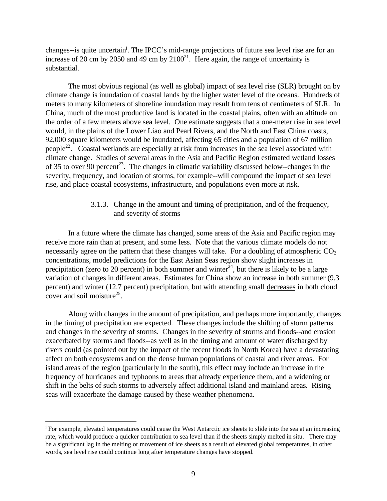changes--is quite uncertain<sup>i</sup>. The IPCC's mid-range projections of future sea level rise are for an increase of 20 cm by 2050 and 49 cm by  $2100^{21}$ . Here again, the range of uncertainty is substantial.

The most obvious regional (as well as global) impact of sea level rise (SLR) brought on by climate change is inundation of coastal lands by the higher water level of the oceans. Hundreds of meters to many kilometers of shoreline inundation may result from tens of centimeters of SLR. In China, much of the most productive land is located in the coastal plains, often with an altitude on the order of a few meters above sea level. One estimate suggests that a one-meter rise in sea level would, in the plains of the Lower Liao and Pearl Rivers, and the North and East China coasts, 92,000 square kilometers would be inundated, affecting 65 cities and a population of 67 million people<sup>22</sup>. Coastal wetlands are especially at risk from increases in the sea level associated with climate change. Studies of several areas in the Asia and Pacific Region estimated wetland losses of 35 to over 90 percent<sup>23</sup>. The changes in climatic variability discussed below--changes in the severity, frequency, and location of storms, for example--will compound the impact of sea level rise, and place coastal ecosystems, infrastructure, and populations even more at risk.

#### 3.1.3. Change in the amount and timing of precipitation, and of the frequency, and severity of storms

In a future where the climate has changed, some areas of the Asia and Pacific region may receive more rain than at present, and some less. Note that the various climate models do not necessarily agree on the pattern that these changes will take. For a doubling of atmospheric  $CO<sub>2</sub>$ concentrations, model predictions for the East Asian Seas region show slight increases in precipitation (zero to 20 percent) in both summer and winter<sup>24</sup>, but there is likely to be a large variation of changes in different areas. Estimates for China show an increase in both summer (9.3 percent) and winter (12.7 percent) precipitation, but with attending small decreases in both cloud cover and soil moisture<sup>25</sup>.

Along with changes in the amount of precipitation, and perhaps more importantly, changes in the timing of precipitation are expected. These changes include the shifting of storm patterns and changes in the severity of storms. Changes in the severity of storms and floods--and erosion exacerbated by storms and floods--as well as in the timing and amount of water discharged by rivers could (as pointed out by the impact of the recent floods in North Korea) have a devastating affect on both ecosystems and on the dense human populations of coastal and river areas. For island areas of the region (particularly in the south), this effect may include an increase in the frequency of hurricanes and typhoons to areas that already experience them, and a widening or shift in the belts of such storms to adversely affect additional island and mainland areas. Rising seas will exacerbate the damage caused by these weather phenomena.

<u>.</u>

<sup>&</sup>lt;sup>j</sup> For example, elevated temperatures could cause the West Antarctic ice sheets to slide into the sea at an increasing rate, which would produce a quicker contribution to sea level than if the sheets simply melted in situ. There may be a significant lag in the melting or movement of ice sheets as a result of elevated global temperatures, in other words, sea level rise could continue long after temperature changes have stopped.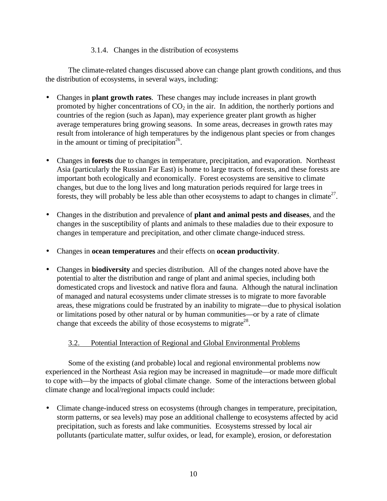#### 3.1.4. Changes in the distribution of ecosystems

The climate-related changes discussed above can change plant growth conditions, and thus the distribution of ecosystems, in several ways, including:

- Changes in **plant growth rates**. These changes may include increases in plant growth promoted by higher concentrations of  $CO<sub>2</sub>$  in the air. In addition, the northerly portions and countries of the region (such as Japan), may experience greater plant growth as higher average temperatures bring growing seasons. In some areas, decreases in growth rates may result from intolerance of high temperatures by the indigenous plant species or from changes in the amount or timing of precipitation<sup>26</sup>.
- Changes in **forests** due to changes in temperature, precipitation, and evaporation. Northeast Asia (particularly the Russian Far East) is home to large tracts of forests, and these forests are important both ecologically and economically. Forest ecosystems are sensitive to climate changes, but due to the long lives and long maturation periods required for large trees in forests, they will probably be less able than other ecosystems to adapt to changes in climate<sup>27</sup>.
- Changes in the distribution and prevalence of **plant and animal pests and diseases**, and the changes in the susceptibility of plants and animals to these maladies due to their exposure to changes in temperature and precipitation, and other climate change-induced stress.
- Changes in **ocean temperatures** and their effects on **ocean productivity**.
- Changes in **biodiversity** and species distribution. All of the changes noted above have the potential to alter the distribution and range of plant and animal species, including both domesticated crops and livestock and native flora and fauna. Although the natural inclination of managed and natural ecosystems under climate stresses is to migrate to more favorable areas, these migrations could be frustrated by an inability to migrate—due to physical isolation or limitations posed by other natural or by human communities—or by a rate of climate change that exceeds the ability of those ecosystems to migrate<sup>28</sup>.

# 3.2. Potential Interaction of Regional and Global Environmental Problems

Some of the existing (and probable) local and regional environmental problems now experienced in the Northeast Asia region may be increased in magnitude—or made more difficult to cope with—by the impacts of global climate change. Some of the interactions between global climate change and local/regional impacts could include:

• Climate change-induced stress on ecosystems (through changes in temperature, precipitation, storm patterns, or sea levels) may pose an additional challenge to ecosystems affected by acid precipitation, such as forests and lake communities. Ecosystems stressed by local air pollutants (particulate matter, sulfur oxides, or lead, for example), erosion, or deforestation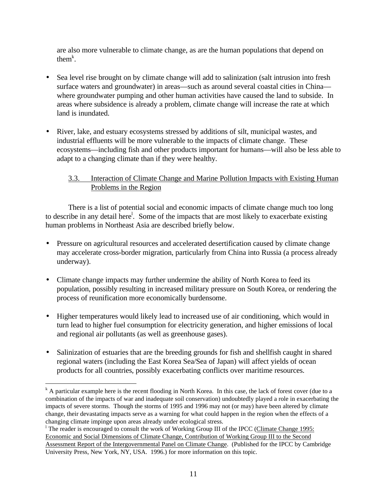are also more vulnerable to climate change, as are the human populations that depend on them<sup> $k$ </sup>.

- Sea level rise brought on by climate change will add to salinization (salt intrusion into fresh surface waters and groundwater) in areas—such as around several coastal cities in China where groundwater pumping and other human activities have caused the land to subside. In areas where subsidence is already a problem, climate change will increase the rate at which land is inundated.
- River, lake, and estuary ecosystems stressed by additions of silt, municipal wastes, and industrial effluents will be more vulnerable to the impacts of climate change. These ecosystems—including fish and other products important for humans—will also be less able to adapt to a changing climate than if they were healthy.

## 3.3. Interaction of Climate Change and Marine Pollution Impacts with Existing Human Problems in the Region

There is a list of potential social and economic impacts of climate change much too long to describe in any detail here<sup>1</sup>. Some of the impacts that are most likely to exacerbate existing human problems in Northeast Asia are described briefly below.

- Pressure on agricultural resources and accelerated desertification caused by climate change may accelerate cross-border migration, particularly from China into Russia (a process already underway).
- Climate change impacts may further undermine the ability of North Korea to feed its population, possibly resulting in increased military pressure on South Korea, or rendering the process of reunification more economically burdensome.
- Higher temperatures would likely lead to increased use of air conditioning, which would in turn lead to higher fuel consumption for electricity generation, and higher emissions of local and regional air pollutants (as well as greenhouse gases).
- Salinization of estuaries that are the breeding grounds for fish and shellfish caught in shared regional waters (including the East Korea Sea/Sea of Japan) will affect yields of ocean products for all countries, possibly exacerbating conflicts over maritime resources.

k<br>A particular example here is the recent flooding in North Korea. In this case, the lack of forest cover (due to a combination of the impacts of war and inadequate soil conservation) undoubtedly played a role in exacerbating the impacts of severe storms. Though the storms of 1995 and 1996 may not (or may) have been altered by climate change, their devastating impacts serve as a warning for what could happen in the region when the effects of a changing climate impinge upon areas already under ecological stress.

<sup>&</sup>lt;sup>1</sup> The reader is encouraged to consult the work of Working Group III of the IPCC (Climate Change 1995: Economic and Social Dimensions of Climate Change, Contribution of Working Group III to the Second Assessment Report of the Intergovernmental Panel on Climate Change. (Published for the IPCC by Cambridge University Press, New York, NY, USA. 1996.) for more information on this topic.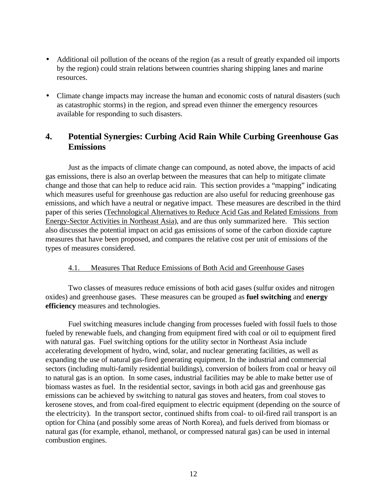- Additional oil pollution of the oceans of the region (as a result of greatly expanded oil imports by the region) could strain relations between countries sharing shipping lanes and marine resources.
- Climate change impacts may increase the human and economic costs of natural disasters (such as catastrophic storms) in the region, and spread even thinner the emergency resources available for responding to such disasters.

# **4. Potential Synergies: Curbing Acid Rain While Curbing Greenhouse Gas Emissions**

Just as the impacts of climate change can compound, as noted above, the impacts of acid gas emissions, there is also an overlap between the measures that can help to mitigate climate change and those that can help to reduce acid rain. This section provides a "mapping" indicating which measures useful for greenhouse gas reduction are also useful for reducing greenhouse gas emissions, and which have a neutral or negative impact. These measures are described in the third paper of this series (Technological Alternatives to Reduce Acid Gas and Related Emissions from Energy-Sector Activities in Northeast Asia), and are thus only summarized here. This section also discusses the potential impact on acid gas emissions of some of the carbon dioxide capture measures that have been proposed, and compares the relative cost per unit of emissions of the types of measures considered.

#### 4.1. Measures That Reduce Emissions of Both Acid and Greenhouse Gases

Two classes of measures reduce emissions of both acid gases (sulfur oxides and nitrogen oxides) and greenhouse gases. These measures can be grouped as **fuel switching** and **energy efficiency** measures and technologies.

Fuel switching measures include changing from processes fueled with fossil fuels to those fueled by renewable fuels, and changing from equipment fired with coal or oil to equipment fired with natural gas. Fuel switching options for the utility sector in Northeast Asia include accelerating development of hydro, wind, solar, and nuclear generating facilities, as well as expanding the use of natural gas-fired generating equipment. In the industrial and commercial sectors (including multi-family residential buildings), conversion of boilers from coal or heavy oil to natural gas is an option. In some cases, industrial facilities may be able to make better use of biomass wastes as fuel. In the residential sector, savings in both acid gas and greenhouse gas emissions can be achieved by switching to natural gas stoves and heaters, from coal stoves to kerosene stoves, and from coal-fired equipment to electric equipment (depending on the source of the electricity). In the transport sector, continued shifts from coal- to oil-fired rail transport is an option for China (and possibly some areas of North Korea), and fuels derived from biomass or natural gas (for example, ethanol, methanol, or compressed natural gas) can be used in internal combustion engines.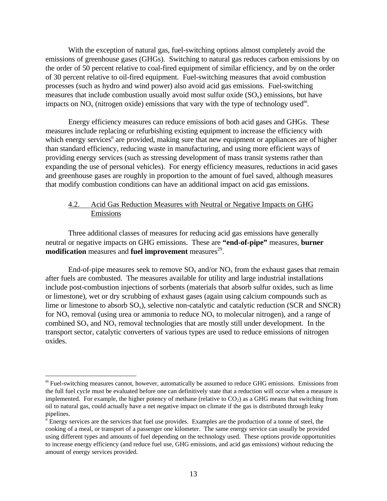With the exception of natural gas, fuel-switching options almost completely avoid the emissions of greenhouse gases (GHGs). Switching to natural gas reduces carbon emissions by on the order of 50 percent relative to coal-fired equipment of similar efficiency, and by on the order of 30 percent relative to oil-fired equipment. Fuel-switching measures that avoid combustion processes (such as hydro and wind power) also avoid acid gas emissions. Fuel-switching measures that include combustion usually avoid most sulfur oxide  $(SO<sub>x</sub>)$  emissions, but have impacts on  $NO_x$  (nitrogen oxide) emissions that vary with the type of technology used<sup>m</sup>.

Energy efficiency measures can reduce emissions of both acid gases and GHGs. These measures include replacing or refurbishing existing equipment to increase the efficiency with which energy services<sup>n</sup> are provided, making sure that new equipment or appliances are of higher than standard efficiency, reducing waste in manufacturing, and using more efficient ways of providing energy services (such as stressing development of mass transit systems rather than expanding the use of personal vehicles). For energy efficiency measures, reductions in acid gases and greenhouse gases are roughly in proportion to the amount of fuel saved, although measures that modify combustion conditions can have an additional impact on acid gas emissions.

## 4.2. Acid Gas Reduction Measures with Neutral or Negative Impacts on GHG Emissions

Three additional classes of measures for reducing acid gas emissions have generally neutral or negative impacts on GHG emissions. These are **"end-of-pipe"** measures, **burner modification** measures and **fuel improvement** measures<sup>29</sup>.

End-of-pipe measures seek to remove  $SO_x$  and/or  $NO_x$  from the exhaust gases that remain after fuels are combusted. The measures available for utility and large industrial installations include post-combustion injections of sorbents (materials that absorb sulfur oxides, such as lime or limestone), wet or dry scrubbing of exhaust gases (again using calcium compounds such as lime or limestone to absorb  $SO_x$ ), selective non-catalytic and catalytic reduction (SCR and SNCR) for  $NO<sub>x</sub>$  removal (using urea or ammonia to reduce  $NO<sub>x</sub>$  to molecular nitrogen), and a range of combined  $SO_x$  and  $NO_x$  removal technologies that are mostly still under development. In the transport sector, catalytic converters of various types are used to reduce emissions of nitrogen oxides.

<sup>&</sup>lt;sup>m</sup> Fuel-switching measures cannot, however, automatically be assumed to reduce GHG emissions. Emissions from the full fuel cycle must be evaluated before one can definitively state that a reduction will occur when a measure is implemented. For example, the higher potency of methane (relative to  $CO<sub>2</sub>$ ) as a GHG means that switching from oil to natural gas, could actually have a net negative impact on climate if the gas is distributed through leaky pipelines.

<sup>&</sup>lt;sup>n</sup> Energy services are the services that fuel use provides. Examples are the production of a tonne of steel, the cooking of a meal, or transport of a passenger one kilometer. The same energy service can usually be provided using different types and amounts of fuel depending on the technology used. These options provide opportunities to increase energy efficiency (and reduce fuel use, GHG emissions, and acid gas emissions) without reducing the amount of energy services provided.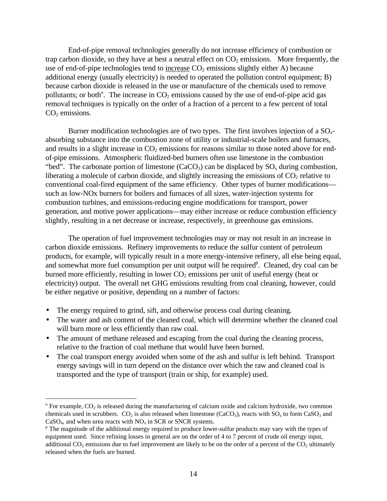End-of-pipe removal technologies generally do not increase efficiency of combustion or trap carbon dioxide, so they have at best a neutral effect on  $CO<sub>2</sub>$  emissions. More frequently, the use of end-of-pipe technologies tend to increase  $CO<sub>2</sub>$  emissions slightly either A) because additional energy (usually electricity) is needed to operated the pollution control equipment; B) because carbon dioxide is released in the use or manufacture of the chemicals used to remove pollutants; or both<sup>o</sup>. The increase in  $CO<sub>2</sub>$  emissions caused by the use of end-of-pipe acid gas removal techniques is typically on the order of a fraction of a percent to a few percent of total  $CO<sub>2</sub>$  emissions.

Burner modification technologies are of two types. The first involves injection of a  $SO<sub>x</sub>$ absorbing substance into the combustion zone of utility or industrial-scale boilers and furnaces, and results in a slight increase in  $CO<sub>2</sub>$  emissions for reasons similar to those noted above for endof-pipe emissions. Atmospheric fluidized-bed burners often use limestone in the combustion "bed". The carbonate portion of limestone  $(CaCO<sub>3</sub>)$  can be displaced by  $SO<sub>x</sub>$  during combustion, liberating a molecule of carbon dioxide, and slightly increasing the emissions of  $CO<sub>2</sub>$  relative to conventional coal-fired equipment of the same efficiency. Other types of burner modifications such as low-NOx burners for boilers and furnaces of all sizes, water-injection systems for combustion turbines, and emissions-reducing engine modifications for transport, power generation, and motive power applications—may either increase or reduce combustion efficiency slightly, resulting in a net decrease or increase, respectively, in greenhouse gas emissions.

The operation of fuel improvement technologies may or may not result in an increase in carbon dioxide emissions. Refinery improvements to reduce the sulfur content of petroleum products, for example, will typically result in a more energy-intensive refinery, all else being equal, and somewhat more fuel consumption per unit output will be required<sup>p</sup>. Cleaned, dry coal can be burned more efficiently, resulting in lower  $CO<sub>2</sub>$  emissions per unit of useful energy (heat or electricity) output. The overall net GHG emissions resulting from coal cleaning, however, could be either negative or positive, depending on a number of factors:

• The energy required to grind, sift, and otherwise process coal during cleaning.

- The water and ash content of the cleaned coal, which will determine whether the cleaned coal will burn more or less efficiently than raw coal.
- The amount of methane released and escaping from the coal during the cleaning process, relative to the fraction of coal methane that would have been burned.
- The coal transport energy avoided when some of the ash and sulfur is left behind. Transport energy savings will in turn depend on the distance over which the raw and cleaned coal is transported and the type of transport (train or ship, for example) used.

 $\textdegree$  For example, CO<sub>2</sub> is released during the manufacturing of calcium oxide and calcium hydroxide, two common chemicals used in scrubbers.  $CO_2$  is also released when limestone (CaCO<sub>3</sub>), reacts with  $SO_x$  to form CaSO<sub>3</sub> and  $CaSO<sub>4</sub>$ , and when urea reacts with  $NO<sub>x</sub>$  in SCR or SNCR systems.

<sup>&</sup>lt;sup>p</sup> The magnitude of the additional energy required to produce lower-sulfur products may vary with the types of equipment used. Since refining losses in general are on the order of 4 to 7 percent of crude oil energy input, additional  $CO<sub>2</sub>$  emissions due to fuel improvement are likely to be on the order of a percent of the  $CO<sub>2</sub>$  ultimately released when the fuels are burned.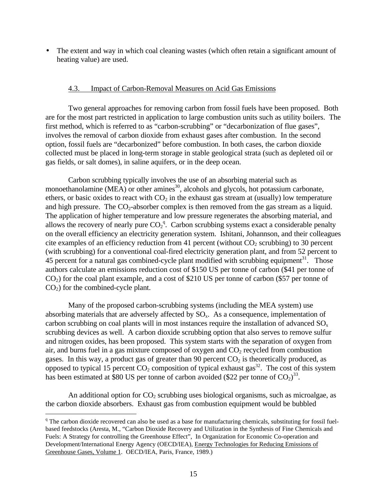The extent and way in which coal cleaning wastes (which often retain a significant amount of heating value) are used.

#### 4.3. Impact of Carbon-Removal Measures on Acid Gas Emissions

Two general approaches for removing carbon from fossil fuels have been proposed. Both are for the most part restricted in application to large combustion units such as utility boilers. The first method, which is referred to as "carbon-scrubbing" or "decarbonization of flue gases", involves the removal of carbon dioxide from exhaust gases after combustion. In the second option, fossil fuels are "decarbonized" before combustion. In both cases, the carbon dioxide collected must be placed in long-term storage in stable geological strata (such as depleted oil or gas fields, or salt domes), in saline aquifers, or in the deep ocean.

Carbon scrubbing typically involves the use of an absorbing material such as monoethanolamine (MEA) or other amines $^{30}$ , alcohols and glycols, hot potassium carbonate, ethers, or basic oxides to react with  $CO<sub>2</sub>$  in the exhaust gas stream at (usually) low temperature and high pressure. The  $CO_2$ -absorber complex is then removed from the gas stream as a liquid. The application of higher temperature and low pressure regenerates the absorbing material, and allows the recovery of nearly pure  $CO_2^q$ . Carbon scrubbing systems exact a considerable penalty on the overall efficiency an electricity generation system. Ishitani, Johannson, and their colleagues cite examples of an efficiency reduction from 41 percent (without  $CO<sub>2</sub>$  scrubbing) to 30 percent (with scrubbing) for a conventional coal-fired electricity generation plant, and from 52 percent to 45 percent for a natural gas combined-cycle plant modified with scrubbing equipment<sup>31</sup>. Those authors calculate an emissions reduction cost of \$150 US per tonne of carbon (\$41 per tonne of CO2) for the coal plant example, and a cost of \$210 US per tonne of carbon (\$57 per tonne of  $CO<sub>2</sub>$ ) for the combined-cycle plant.

Many of the proposed carbon-scrubbing systems (including the MEA system) use absorbing materials that are adversely affected by  $SO<sub>x</sub>$ . As a consequence, implementation of carbon scrubbing on coal plants will in most instances require the installation of advanced  $SO<sub>x</sub>$ scrubbing devices as well. A carbon dioxide scrubbing option that also serves to remove sulfur and nitrogen oxides, has been proposed. This system starts with the separation of oxygen from air, and burns fuel in a gas mixture composed of oxygen and  $CO<sub>2</sub>$  recycled from combustion gases. In this way, a product gas of greater than 90 percent  $CO<sub>2</sub>$  is theoretically produced, as opposed to typical 15 percent  $CO_2$  composition of typical exhaust gas<sup>32</sup>. The cost of this system has been estimated at \$80 US per tonne of carbon avoided (\$22 per tonne of  $CO<sub>2</sub>$ )<sup>33</sup>.

An additional option for  $CO<sub>2</sub>$  scrubbing uses biological organisms, such as microalgae, as the carbon dioxide absorbers. Exhaust gas from combustion equipment would be bubbled

<sup>&</sup>lt;sup>q</sup> The carbon dioxide recovered can also be used as a base for manufacturing chemicals, substituting for fossil fuelbased feedstocks (Aresta, M., "Carbon Dioxide Recovery and Utilization in the Synthesis of Fine Chemicals and Fuels: A Strategy for controlling the Greenhouse Effect", In Organization for Economic Co-operation and Development/International Energy Agency (OECD/IEA), Energy Technologies for Reducing Emissions of Greenhouse Gases, Volume 1. OECD/IEA, Paris, France, 1989.)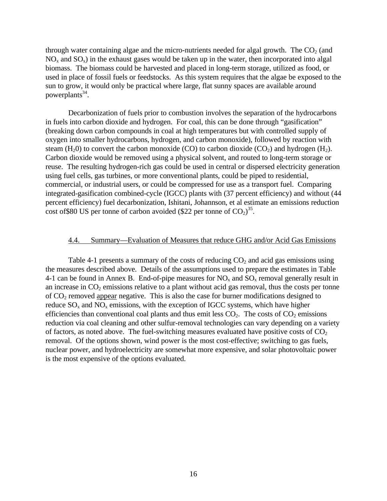through water containing algae and the micro-nutrients needed for algal growth. The  $CO<sub>2</sub>$  (and  $NO<sub>x</sub>$  and  $SO<sub>x</sub>$ ) in the exhaust gases would be taken up in the water, then incorporated into algal biomass. The biomass could be harvested and placed in long-term storage, utilized as food, or used in place of fossil fuels or feedstocks. As this system requires that the algae be exposed to the sun to grow, it would only be practical where large, flat sunny spaces are available around powerplants<sup>34</sup>.

Decarbonization of fuels prior to combustion involves the separation of the hydrocarbons in fuels into carbon dioxide and hydrogen. For coal, this can be done through "gasification" (breaking down carbon compounds in coal at high temperatures but with controlled supply of oxygen into smaller hydrocarbons, hydrogen, and carbon monoxide), followed by reaction with steam  $(H_20)$  to convert the carbon monoxide (CO) to carbon dioxide (CO<sub>2</sub>) and hydrogen  $(H_2)$ . Carbon dioxide would be removed using a physical solvent, and routed to long-term storage or reuse. The resulting hydrogen-rich gas could be used in central or dispersed electricity generation using fuel cells, gas turbines, or more conventional plants, could be piped to residential, commercial, or industrial users, or could be compressed for use as a transport fuel. Comparing integrated-gasification combined-cycle (IGCC) plants with (37 percent efficiency) and without (44 percent efficiency) fuel decarbonization, Ishitani, Johannson, et al estimate an emissions reduction cost of \$80 US per tonne of carbon avoided (\$22 per tonne of  $CO<sub>2</sub>$ )<sup>35</sup>.

#### 4.4. Summary—Evaluation of Measures that reduce GHG and/or Acid Gas Emissions

Table 4-1 presents a summary of the costs of reducing  $CO<sub>2</sub>$  and acid gas emissions using the measures described above. Details of the assumptions used to prepare the estimates in Table 4-1 can be found in Annex B. End-of-pipe measures for  $NO<sub>x</sub>$  and  $SO<sub>x</sub>$  removal generally result in an increase in  $CO<sub>2</sub>$  emissions relative to a plant without acid gas removal, thus the costs per tonne of  $CO<sub>2</sub>$  removed appear negative. This is also the case for burner modifications designed to reduce  $SO_x$  and  $NO_x$  emissions, with the exception of IGCC systems, which have higher efficiencies than conventional coal plants and thus emit less  $CO<sub>2</sub>$ . The costs of  $CO<sub>2</sub>$  emissions reduction via coal cleaning and other sulfur-removal technologies can vary depending on a variety of factors, as noted above. The fuel-switching measures evaluated have positive costs of  $CO<sub>2</sub>$ removal. Of the options shown, wind power is the most cost-effective; switching to gas fuels, nuclear power, and hydroelectricity are somewhat more expensive, and solar photovoltaic power is the most expensive of the options evaluated.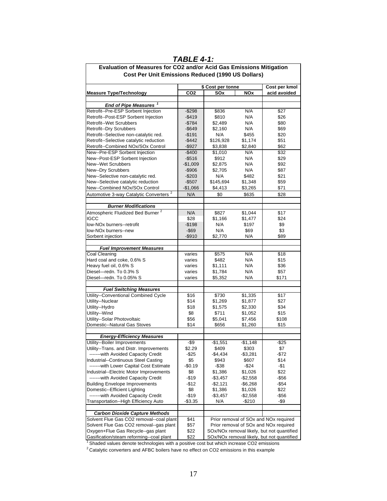| Evaluation of Measures for CO2 and/or Acid Gas Emissions Mitigation               |                                    |                                                                                     |                      |                                            |  |
|-----------------------------------------------------------------------------------|------------------------------------|-------------------------------------------------------------------------------------|----------------------|--------------------------------------------|--|
| Cost Per Unit Emissions Reduced (1990 US Dollars)                                 |                                    |                                                                                     |                      |                                            |  |
|                                                                                   | Cost per kmol<br>\$ Cost per tonne |                                                                                     |                      |                                            |  |
| <b>Measure Type/Technology</b>                                                    | CO <sub>2</sub>                    | SOx                                                                                 | <b>NOx</b>           | acid avoided                               |  |
|                                                                                   |                                    |                                                                                     |                      |                                            |  |
| End of Pipe Measures <sup>1</sup>                                                 |                                    |                                                                                     |                      |                                            |  |
| Retrofit--Pre-ESP Sorbent Injection                                               | $-$298$                            | \$836                                                                               | N/A                  | \$27                                       |  |
| Retrofit--Post-ESP Sorbent Injection                                              | $-$ \$419                          | \$810                                                                               | N/A                  | \$26                                       |  |
| <b>Retrofit--Wet Scrubbers</b>                                                    | $-$784$                            | \$2,489                                                                             | N/A                  | \$80                                       |  |
| <b>Retrofit--Dry Scrubbers</b>                                                    | $-$ \$649                          | \$2,160                                                                             | N/A                  | \$69                                       |  |
| Retrofit--Selective non-catalytic red.<br>Retrofit--Selective catalytic reduction | $-$191$                            | N/A                                                                                 | \$455                | \$20                                       |  |
| Retrofit--Combined NOx/SOx Control                                                | $-$ \$442<br>$-$ \$927             | \$126,928<br>\$3,838                                                                | \$1,174<br>\$2,840   | \$51<br>\$62                               |  |
| New--Pre-ESP Sorbent Injection                                                    | $-$400$                            | \$1,010                                                                             | N/A                  | \$32                                       |  |
| New--Post-ESP Sorbent Injection                                                   | $-$ \$516                          | \$912                                                                               | N/A                  | \$29                                       |  |
| New--Wet Scrubbers                                                                | $-$1,009$                          | \$2,875                                                                             | N/A                  | \$92                                       |  |
| New--Dry Scrubbers                                                                | $-$ \$906                          | \$2,705                                                                             | N/A                  | \$87                                       |  |
| New--Selective non-catalytic red.                                                 | $-$203$                            | N/A                                                                                 | \$482                | \$21                                       |  |
| New--Selective catalytic reduction                                                | $-$507$                            | \$145,694                                                                           | \$1,348              | \$59                                       |  |
| New--Combined NOx/SOx Control                                                     | $-$1,066$                          | \$4,413                                                                             | \$3,265              | \$71                                       |  |
| Automotive 3-way Catalytic Converters <sup>2</sup>                                | N/A                                | \$0                                                                                 | \$635                | \$28                                       |  |
| <b>Burner Modifications</b>                                                       |                                    |                                                                                     |                      |                                            |  |
| Atmospheric Fluidized Bed Burner <sup>2</sup>                                     | N/A                                | \$827                                                                               | \$1,044              | \$17                                       |  |
| <b>IGCC</b>                                                                       | \$28                               | \$1,166                                                                             | \$1,477              | \$24                                       |  |
| low-NO <sub>x</sub> burners--retrofit                                             | $-$198$                            | N/A                                                                                 | \$197                | \$9                                        |  |
| low-NOx burners--new                                                              | $-$ \$69                           | N/A                                                                                 | \$69                 | \$3                                        |  |
| Sorbent injection                                                                 | $-$ \$910                          | \$2,770                                                                             | N/A                  | \$89                                       |  |
|                                                                                   |                                    |                                                                                     |                      |                                            |  |
| <b>Fuel Improvement Measures</b>                                                  |                                    |                                                                                     |                      |                                            |  |
| Coal Cleaning                                                                     | varies                             | \$575                                                                               | N/A                  | \$18                                       |  |
| Hard coal and coke, 0.6% S                                                        | varies                             | \$482                                                                               | N/A                  | \$15                                       |  |
| Heavy fuel oil, 0.6% S                                                            | varies                             | \$1,111                                                                             | N/A                  | \$36                                       |  |
| Diesel-redn. To 0.3% S                                                            | varies                             | \$1,784                                                                             | N/A                  | \$57                                       |  |
| Diesel-redn. To 0.05% S                                                           | varies                             | \$5,352                                                                             | N/A                  | \$171                                      |  |
| <b>Fuel Switching Measures</b>                                                    |                                    |                                                                                     |                      |                                            |  |
| Utility--Conventional Combined Cycle                                              | \$16                               | \$730                                                                               | \$1,335              | \$17                                       |  |
| Utility--Nuclear                                                                  | \$14                               | \$1,269                                                                             | \$1,877              | \$27                                       |  |
| Utility--Hydro                                                                    | \$18                               | \$1,575                                                                             | \$2,330              | \$34                                       |  |
| Utility--Wind                                                                     | \$8                                | \$711                                                                               | \$1,052              | \$15                                       |  |
| Utility--Solar Photovoltaic                                                       | \$56                               | \$5,041                                                                             | \$7,456              | \$108                                      |  |
| Domestic--Natural Gas Stoves                                                      | \$14                               | \$656                                                                               | \$1,260              | \$15                                       |  |
|                                                                                   |                                    |                                                                                     |                      |                                            |  |
| <b>Energy-Efficiency Measures</b>                                                 |                                    |                                                                                     |                      |                                            |  |
| Utility--Boiler Improvements                                                      | -\$9                               | $-$1,551$                                                                           | $-$1,148$            | $-$ \$25                                   |  |
| Utility--Trans. and Distr. Improvements                                           | \$2.29                             | \$409                                                                               | \$303                | \$7                                        |  |
| ------- with Avoided Capacity Credit                                              | -\$25                              | -\$4,434                                                                            | $-$3,281$            | -\$72                                      |  |
| Industrial--Continuous Steel Casting                                              | \$5                                | \$943                                                                               | \$607                | \$14                                       |  |
| -------with Lower Capital Cost Estimate                                           | $-$0.19$                           | -\$38                                                                               | -\$24                | -\$1                                       |  |
| Industrial--Electric Motor Improvements                                           | \$8                                | \$1,386                                                                             | \$1,026              | \$22                                       |  |
| -------with Avoided Capacity Credit<br><b>Building Envelope Improvements</b>      | -\$19                              | $-$3,457$                                                                           | $-$2,558$            | -\$56                                      |  |
| Domestic--Efficient Lighting                                                      | -\$12                              | -\$2,121                                                                            | -\$6,268             | -\$54                                      |  |
| ------- with Avoided Capacity Credit                                              | \$8<br>$-$19$                      | \$1,386<br>$-$3,457$                                                                | \$1,026<br>$-$2,558$ | \$22<br>-\$56                              |  |
| Transportation--High Efficiency Auto                                              | $-$ \$3.35                         | N/A                                                                                 | -\$210               | -\$9                                       |  |
|                                                                                   |                                    |                                                                                     |                      |                                            |  |
| <b>Carbon Dioxide Capture Methods</b>                                             |                                    |                                                                                     |                      |                                            |  |
| Solvent Flue Gas CO2 removal--coal plant                                          | \$41                               |                                                                                     |                      | Prior removal of SOx and NOx required      |  |
| Solvent Flue Gas CO2 removal--gas plant                                           | \$57                               | Prior removal of SOx and NOx required<br>SOx/NOx removal likely, but not quantified |                      |                                            |  |
| Oxygen+Flue Gas Recycle--gas plant<br>Gasification/steam reforming--coal plant    | \$22                               |                                                                                     |                      |                                            |  |
|                                                                                   | \$22                               |                                                                                     |                      | SOx/NOx removal likely, but not quantified |  |

#### *TABLE 4-1:*

<sup>1</sup> Shaded values denote technologies with a positive cost but which increase CO2 emissions

2Catalytic converters and AFBC boilers have no effect on CO2 emissions in this example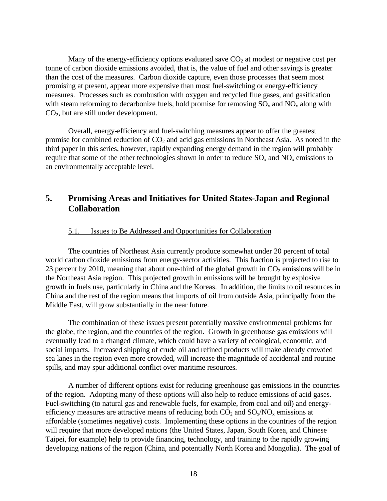Many of the energy-efficiency options evaluated save  $CO<sub>2</sub>$  at modest or negative cost per tonne of carbon dioxide emissions avoided, that is, the value of fuel and other savings is greater than the cost of the measures. Carbon dioxide capture, even those processes that seem most promising at present, appear more expensive than most fuel-switching or energy-efficiency measures. Processes such as combustion with oxygen and recycled flue gases, and gasification with steam reforming to decarbonize fuels, hold promise for removing  $SO_x$  and  $NO_x$  along with CO2, but are still under development.

Overall, energy-efficiency and fuel-switching measures appear to offer the greatest promise for combined reduction of  $CO<sub>2</sub>$  and acid gas emissions in Northeast Asia. As noted in the third paper in this series, however, rapidly expanding energy demand in the region will probably require that some of the other technologies shown in order to reduce  $SO_x$  and  $NO_x$  emissions to an environmentally acceptable level.

# **5. Promising Areas and Initiatives for United States-Japan and Regional Collaboration**

#### 5.1. Issues to Be Addressed and Opportunities for Collaboration

The countries of Northeast Asia currently produce somewhat under 20 percent of total world carbon dioxide emissions from energy-sector activities. This fraction is projected to rise to 23 percent by 2010, meaning that about one-third of the global growth in  $CO<sub>2</sub>$  emissions will be in the Northeast Asia region. This projected growth in emissions will be brought by explosive growth in fuels use, particularly in China and the Koreas. In addition, the limits to oil resources in China and the rest of the region means that imports of oil from outside Asia, principally from the Middle East, will grow substantially in the near future.

The combination of these issues present potentially massive environmental problems for the globe, the region, and the countries of the region. Growth in greenhouse gas emissions will eventually lead to a changed climate, which could have a variety of ecological, economic, and social impacts. Increased shipping of crude oil and refined products will make already crowded sea lanes in the region even more crowded, will increase the magnitude of accidental and routine spills, and may spur additional conflict over maritime resources.

A number of different options exist for reducing greenhouse gas emissions in the countries of the region. Adopting many of these options will also help to reduce emissions of acid gases. Fuel-switching (to natural gas and renewable fuels, for example, from coal and oil) and energyefficiency measures are attractive means of reducing both  $CO_2$  and  $SO_x/NO_x$  emissions at affordable (sometimes negative) costs. Implementing these options in the countries of the region will require that more developed nations (the United States, Japan, South Korea, and Chinese Taipei, for example) help to provide financing, technology, and training to the rapidly growing developing nations of the region (China, and potentially North Korea and Mongolia). The goal of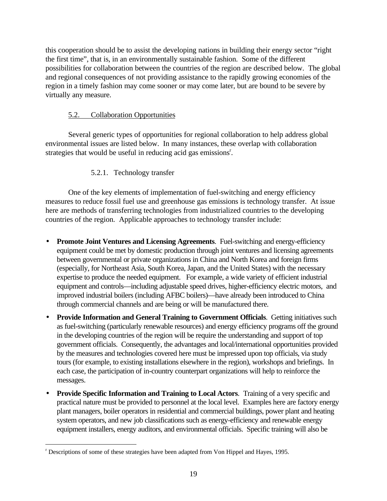this cooperation should be to assist the developing nations in building their energy sector "right the first time", that is, in an environmentally sustainable fashion. Some of the different possibilities for collaboration between the countries of the region are described below. The global and regional consequences of not providing assistance to the rapidly growing economies of the region in a timely fashion may come sooner or may come later, but are bound to be severe by virtually any measure.

# 5.2. Collaboration Opportunities

Several generic types of opportunities for regional collaboration to help address global environmental issues are listed below. In many instances, these overlap with collaboration strategies that would be useful in reducing acid gas emissions<sup>r</sup>.

# 5.2.1. Technology transfer

One of the key elements of implementation of fuel-switching and energy efficiency measures to reduce fossil fuel use and greenhouse gas emissions is technology transfer. At issue here are methods of transferring technologies from industrialized countries to the developing countries of the region. Applicable approaches to technology transfer include:

- **Promote Joint Ventures and Licensing Agreements**. Fuel-switching and energy-efficiency equipment could be met by domestic production through joint ventures and licensing agreements between governmental or private organizations in China and North Korea and foreign firms (especially, for Northeast Asia, South Korea, Japan, and the United States) with the necessary expertise to produce the needed equipment. For example, a wide variety of efficient industrial equipment and controls—including adjustable speed drives, higher-efficiency electric motors, and improved industrial boilers (including AFBC boilers)—have already been introduced to China through commercial channels and are being or will be manufactured there.
- **Provide Information and General Training to Government Officials**. Getting initiatives such as fuel-switching (particularly renewable resources) and energy efficiency programs off the ground in the developing countries of the region will be require the understanding and support of top government officials. Consequently, the advantages and local/international opportunities provided by the measures and technologies covered here must be impressed upon top officials, via study tours (for example, to existing installations elsewhere in the region), workshops and briefings. In each case, the participation of in-country counterpart organizations will help to reinforce the messages.
- **Provide Specific Information and Training to Local Actors**. Training of a very specific and practical nature must be provided to personnel at the local level. Examples here are factory energy plant managers, boiler operators in residential and commercial buildings, power plant and heating system operators, and new job classifications such as energy-efficiency and renewable energy equipment installers, energy auditors, and environmental officials. Specific training will also be

<u>.</u>

<sup>&</sup>lt;sup>r</sup> Descriptions of some of these strategies have been adapted from Von Hippel and Hayes, 1995.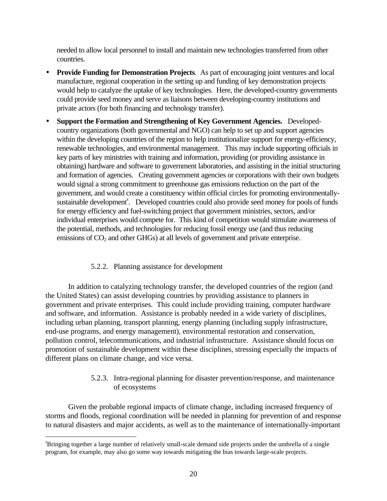needed to allow local personnel to install and maintain new technologies transferred from other countries.

- **Provide Funding for Demonstration Projects***.* As part of encouraging joint ventures and local manufacture, regional cooperation in the setting up and funding of key demonstration projects would help to catalyze the uptake of key technologies. Here, the developed-country governments could provide seed money and serve as liaisons between developing-country institutions and private actors (for both financing and technology transfer).
- **Support the Formation and Strengthening of Key Government Agencies.** Developedcountry organizations (both governmental and NGO) can help to set up and support agencies within the developing countries of the region to help institutionalize support for energy-efficiency, renewable technologies, and environmental management. This may include supporting officials in key parts of key ministries with training and information, providing (or providing assistance in obtaining) hardware and software to government laboratories, and assisting in the initial structuring and formation of agencies. Creating government agencies or corporations with their own budgets would signal a strong commitment to greenhouse gas emissions reduction on the part of the government, and would create a constituency within official circles for promoting environmentallysustainable development<sup>s</sup>. Developed countries could also provide seed money for pools of funds for energy efficiency and fuel-switching project that government ministries, sectors, and/or individual enterprises would compete for. This kind of competition would stimulate awareness of the potential, methods, and technologies for reducing fossil energy use (and thus reducing emissions of  $CO<sub>2</sub>$  and other GHGs) at all levels of government and private enterprise.

### 5.2.2. Planning assistance for development

In addition to catalyzing technology transfer, the developed countries of the region (and the United States) can assist developing countries by providing assistance to planners in government and private enterprises. This could include providing training, computer hardware and software, and information. Assistance is probably needed in a wide variety of disciplines, including urban planning, transport planning, energy planning (including supply infrastructure, end-use programs, and energy management), environmental restoration and conservation, pollution control, telecommunications, and industrial infrastructure. Assistance should focus on promotion of sustainable development within these disciplines, stressing especially the impacts of different plans on climate change, and vice versa.

### 5.2.3. Intra-regional planning for disaster prevention/response, and maintenance of ecosystems

Given the probable regional impacts of climate change, including increased frequency of storms and floods, regional coordination will be needed in planning for prevention of and response to natural disasters and major accidents, as well as to the maintenance of internationally-important

<sup>&</sup>lt;sup>8</sup>Bringing together a large number of relatively small-scale demand side projects under the umbrella of a single program, for example, may also go some way towards mitigating the bias towards large-scale projects.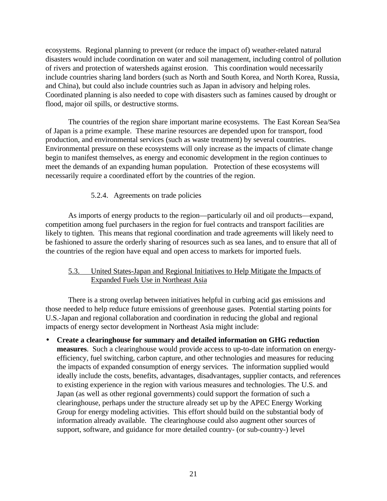ecosystems. Regional planning to prevent (or reduce the impact of) weather-related natural disasters would include coordination on water and soil management, including control of pollution of rivers and protection of watersheds against erosion. This coordination would necessarily include countries sharing land borders (such as North and South Korea, and North Korea, Russia, and China), but could also include countries such as Japan in advisory and helping roles. Coordinated planning is also needed to cope with disasters such as famines caused by drought or flood, major oil spills, or destructive storms.

The countries of the region share important marine ecosystems. The East Korean Sea/Sea of Japan is a prime example. These marine resources are depended upon for transport, food production, and environmental services (such as waste treatment) by several countries. Environmental pressure on these ecosystems will only increase as the impacts of climate change begin to manifest themselves, as energy and economic development in the region continues to meet the demands of an expanding human population. Protection of these ecosystems will necessarily require a coordinated effort by the countries of the region.

### 5.2.4. Agreements on trade policies

As imports of energy products to the region—particularly oil and oil products—expand, competition among fuel purchasers in the region for fuel contracts and transport facilities are likely to tighten. This means that regional coordination and trade agreements will likely need to be fashioned to assure the orderly sharing of resources such as sea lanes, and to ensure that all of the countries of the region have equal and open access to markets for imported fuels.

### 5.3. United States-Japan and Regional Initiatives to Help Mitigate the Impacts of Expanded Fuels Use in Northeast Asia

There is a strong overlap between initiatives helpful in curbing acid gas emissions and those needed to help reduce future emissions of greenhouse gases. Potential starting points for U.S.-Japan and regional collaboration and coordination in reducing the global and regional impacts of energy sector development in Northeast Asia might include:

• **Create a clearinghouse for summary and detailed information on GHG reduction measures**. Such a clearinghouse would provide access to up-to-date information on energyefficiency, fuel switching, carbon capture, and other technologies and measures for reducing the impacts of expanded consumption of energy services. The information supplied would ideally include the costs, benefits, advantages, disadvantages, supplier contacts, and references to existing experience in the region with various measures and technologies. The U.S. and Japan (as well as other regional governments) could support the formation of such a clearinghouse, perhaps under the structure already set up by the APEC Energy Working Group for energy modeling activities. This effort should build on the substantial body of information already available. The clearinghouse could also augment other sources of support, software, and guidance for more detailed country- (or sub-country-) level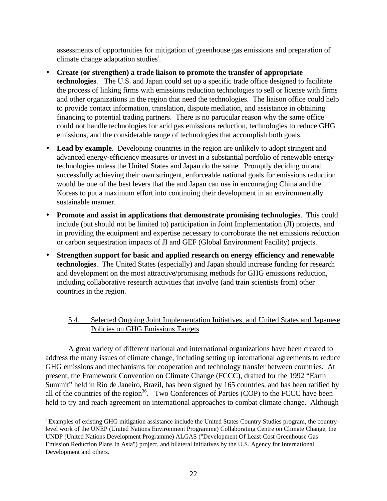assessments of opportunities for mitigation of greenhouse gas emissions and preparation of climate change adaptation studies<sup>t</sup>.

- **Create (or strengthen) a trade liaison to promote the transfer of appropriate technologies**. The U.S. and Japan could set up a specific trade office designed to facilitate the process of linking firms with emissions reduction technologies to sell or license with firms and other organizations in the region that need the technologies. The liaison office could help to provide contact information, translation, dispute mediation, and assistance in obtaining financing to potential trading partners. There is no particular reason why the same office could not handle technologies for acid gas emissions reduction, technologies to reduce GHG emissions, and the considerable range of technologies that accomplish both goals.
- **Lead by example**. Developing countries in the region are unlikely to adopt stringent and advanced energy-efficiency measures or invest in a substantial portfolio of renewable energy technologies unless the United States and Japan do the same. Promptly deciding on and successfully achieving their own stringent, enforceable national goals for emissions reduction would be one of the best levers that the and Japan can use in encouraging China and the Koreas to put a maximum effort into continuing their development in an environmentally sustainable manner.
- **Promote and assist in applications that demonstrate promising technologies**. This could include (but should not be limited to) participation in Joint Implementation (JI) projects, and in providing the equipment and expertise necessary to corroborate the net emissions reduction or carbon sequestration impacts of JI and GEF (Global Environment Facility) projects.
- **Strengthen support for basic and applied research on energy efficiency and renewable technologies**. The United States (especially) and Japan should increase funding for research and development on the most attractive/promising methods for GHG emissions reduction, including collaborative research activities that involve (and train scientists from) other countries in the region.

# 5.4. Selected Ongoing Joint Implementation Initiatives, and United States and Japanese Policies on GHG Emissions Targets

A great variety of different national and international organizations have been created to address the many issues of climate change, including setting up international agreements to reduce GHG emissions and mechanisms for cooperation and technology transfer between countries. At present, the Framework Convention on Climate Change (FCCC), drafted for the 1992 "Earth Summit" held in Rio de Janeiro, Brazil, has been signed by 165 countries, and has been ratified by all of the countries of the region<sup>36</sup>. Two Conferences of Parties (COP) to the FCCC have been held to try and reach agreement on international approaches to combat climate change. Although

<u>.</u>

<sup>&</sup>lt;sup>t</sup> Examples of existing GHG mitigation assistance include the United States Country Studies program, the countrylevel work of the UNEP (United Nations Environment Programme) Collaborating Centre on Climate Change, the UNDP (United Nations Development Programme) ALGAS ("Development Of Least-Cost Greenhouse Gas Emission Reduction Plans In Asia") project, and bilateral initiatives by the U.S. Agency for International Development and others.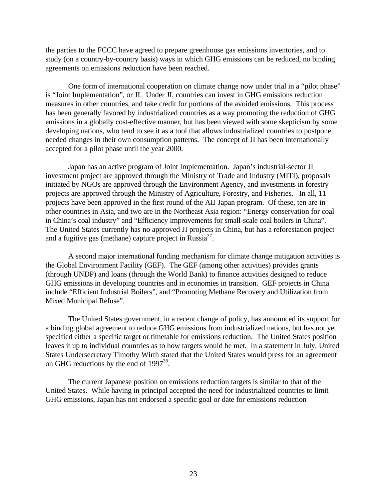the parties to the FCCC have agreed to prepare greenhouse gas emissions inventories, and to study (on a country-by-country basis) ways in which GHG emissions can be reduced, no binding agreements on emissions reduction have been reached.

One form of international cooperation on climate change now under trial in a "pilot phase" is "Joint Implementation", or JI. Under JI, countries can invest in GHG emissions reduction measures in other countries, and take credit for portions of the avoided emissions. This process has been generally favored by industrialized countries as a way promoting the reduction of GHG emissions in a globally cost-effective manner, but has been viewed with some skepticism by some developing nations, who tend to see it as a tool that allows industrialized countries to postpone needed changes in their own consumption patterns. The concept of JI has been internationally accepted for a pilot phase until the year 2000.

Japan has an active program of Joint Implementation. Japan's industrial-sector JI investment project are approved through the Ministry of Trade and Industry (MITI), proposals initiated by NGOs are approved through the Environment Agency, and investments in forestry projects are approved through the Ministry of Agriculture, Forestry, and Fisheries. In all, 11 projects have been approved in the first round of the AIJ Japan program. Of these, ten are in other countries in Asia, and two are in the Northeast Asia region: "Energy conservation for coal in China's coal industry" and "Efficiency improvements for small-scale coal boilers in China". The United States currently has no approved JI projects in China, but has a reforestation project and a fugitive gas (methane) capture project in Russia $3^7$ .

A second major international funding mechanism for climate change mitigation activities is the Global Environment Facility (GEF). The GEF (among other activities) provides grants (through UNDP) and loans (through the World Bank) to finance activities designed to reduce GHG emissions in developing countries and in economies in transition. GEF projects in China include "Efficient Industrial Boilers", and "Promoting Methane Recovery and Utilization from Mixed Municipal Refuse".

The United States government, in a recent change of policy, has announced its support for a binding global agreement to reduce GHG emissions from industrialized nations, but has not yet specified either a specific target or timetable for emissions reduction. The United States position leaves it up to individual countries as to how targets would be met. In a statement in July, United States Undersecretary Timothy Wirth stated that the United States would press for an agreement on GHG reductions by the end of  $1997^{38}$ .

The current Japanese position on emissions reduction targets is similar to that of the United States. While having in principal accepted the need for industrialized countries to limit GHG emissions, Japan has not endorsed a specific goal or date for emissions reduction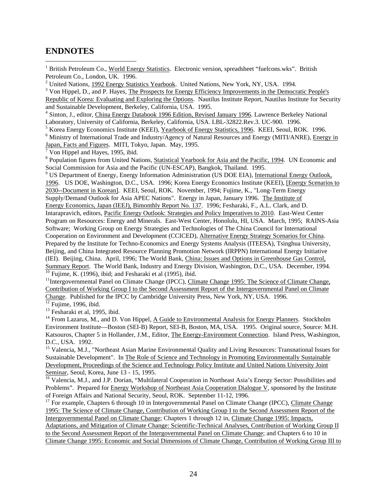# **ENDNOTES**

 $\overline{a}$ 

<sup>1</sup> British Petroleum Co., World Energy Statistics. Electronic version, spreadsheet "fuelcons.wks". British Petroleum Co., London, UK. 1996.

<sup>2</sup> United Nations, 1992 Energy Statistics Yearbook. United Nations, New York, NY, USA. 1994.

<sup>3</sup> Von Hippel, D., and P. Hayes, The Prospects for Energy Efficiency Improvements in the Democratic People's Republic of Korea: Evaluating and Exploring the Options. Nautilus Institute Report, Nautilus Institute for Security and Sustainable Development, Berkeley, California, USA. 1995.

<sup>4</sup> Sinton, J., editor, *China Energy Databook 1996 Edition, Revised January 1996*. Lawrence Berkeley National Laboratory, University of California, Berkeley, California, USA. LBL-32822.Rev.3. UC-900. 1996.

<sup>5</sup> Korea Energy Economics Institute (KEEI), Yearbook of Energy Statistics, 1996. KEEI, Seoul, ROK. 1996.

<sup>6</sup> Ministry of International Trade and Industry/Agency of Natural Resources and Energy (MITI/ANRE), *Energy in* Japan, Facts and Figures. MITI, Tokyo, Japan. May, 1995. 7 Von Hippel and Hayes, 1995, ibid.

<sup>8</sup> Population figures from United Nations, Statistical Yearbook for Asia and the Pacific, 1994. UN Economic and Social Commission for Asia and the Pacific (UN-ESCAP), Bangkok, Thailand. 1995.

<sup>9</sup> US Department of Energy, Energy Information Administration (US DOE EIA), International Energy Outlook, 1996. US DOE, Washington, D.C., USA. 1996; Korea Energy Economics Institute (KEEI), [Energy Scenarios to 2030--Document in Korean]. KEEI, Seoul, ROK. November, 1994; Fujime, K., "Long-Term Energy Supply/Demand Outlook for Asia APEC Nations". Energy in Japan, January 1996. The Institute of Energy Economics, Japan (IEEJ), Bimonthly Report No. 137. 1996; Fesharaki, F., A.L. Clark, and D. Intarapravich, editors, Pacific Energy Outlook: Strategies and Policy Imperatives to 2010. East-West Center Program on Resources: Energy and Minerals. East-West Center, Honolulu, HI, USA. March, 1995; RAINS-Asia Software; Working Group on Energy Strategies and Technologies of The China Council for International Cooperation on Environment and Development (CCICED), Alternative Energy Strategy Scenarios for China. Prepared by the Institute for Techno-Economics and Energy Systems Analysis (ITEESA), Tsinghua University, Beijing, and China Integrated Resource Planning Promotion Network (IRPPN) International Energy Initiative (IEI). Beijing, China. April, 1996; The World Bank, China: Issues and Options in Greenhouse Gas Control, Summary Report. The World Bank, Industry and Energy Division, Washington, D.C., USA. December, 1994.  $10$  Fujime, K. (1996), ibid; and Fesharaki et al (1995), ibid.

<sup>11</sup>Intergovernmental Panel on Climate Change (IPCC), Climate Change 1995: The Science of Climate Change, Contribution of Working Group I to the Second Assessment Report of the Intergovernmental Panel on Climate Change. Published for the IPCC by Cambridge University Press, New York, NY, USA. 1996.

 $\frac{12}{12}$  Fujime, 1996, ibid.

<sup>13</sup> Fesharaki et al, 1995, ibid.

<sup>14</sup> From Lazarus, M., and D. Von Hippel, A Guide to Environmental Analysis for Energy Planners. Stockholm Environment Institute—Boston (SEI-B) Report, SEI-B, Boston, MA, USA. 1995. Original source, Source: M.H. Katsouros, Chapter 5 in Hollander, J.M., Editor, The Energy-Environment Connection. Island Press, Washington, D.C., USA. 1992.

<sup>15</sup> Valencia, M.J., "Northeast Asian Marine Environmental Quality and Living Resources: Transnational Issues for Sustainable Development". In The Role of Science and Technology in Promoting Environmentally Sustainable Development, Proceedings of the Science and Technology Policy Institute and United Nations University Joint Seminar, Seoul, Korea, June 13 - 15, 1995.

<sup>16</sup> Valencia, M.J., and J.P. Dorian, "Multilateral Cooperation in Northeast Asia's Energy Sector: Possibilities and Problems". Prepared for Energy Workshop of Northeast Asia Cooperation Dialogue V, sponsored by the Institute of Foreign Affairs and National Security, Seoul, ROK. September 11-12, 1996.

<sup>17</sup> For example, Chapters 6 through 10 in Intergovernmental Panel on Climate Change (IPCC), Climate Change 1995: The Science of Climate Change, Contribution of Working Group I to the Second Assessment Report of the Intergovernmental Panel on Climate Change; Chapters 1 through 12 in, Climate Change 1995: Impacts,

Adaptations, and Mitigation of Climate Change: Scientific-Technical Analyses, Contribution of Working Group II to the Second Assessment Report of the Intergovernmental Panel on Climate Change; and Chapters 6 to 10 in Climate Change 1995: Economic and Social Dimensions of Climate Change, Contribution of Working Group III to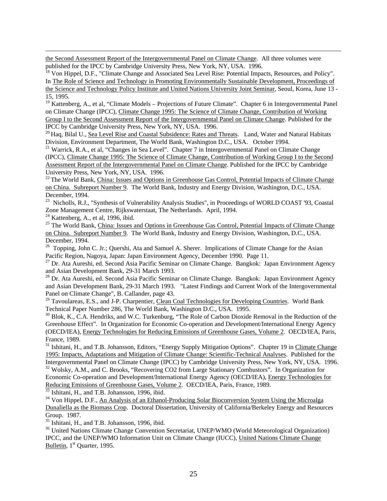the Second Assessment Report of the Intergovernmental Panel on Climate Change. All three volumes were published for the IPCC by Cambridge University Press, New York, NY, USA. 1996.

<sup>18</sup> Von Hippel, D.F., "Climate Change and Associated Sea Level Rise: Potential Impacts, Resources, and Policy". In The Role of Science and Technology in Promoting Environmentally Sustainable Development, Proceedings of the Science and Technology Policy Institute and United Nations University Joint Seminar, Seoul, Korea, June 13 - 15, 1995.

<sup>19</sup> Kattenberg, A., et al, "Climate Models – Projections of Future Climate". Chapter 6 in Intergovernmental Panel on Climate Change (IPCC), Climate Change 1995: The Science of Climate Change, Contribution of Working Group I to the Second Assessment Report of the Intergovernmental Panel on Climate Change. Published for the IPCC by Cambridge University Press, New York, NY, USA. 1996.

<sup>20</sup> Haq, Bilal U., Sea Level Rise and Coastal Subsidence: Rates and Threats. Land, Water and Natural Habitats Division, Environment Department, The World Bank, Washington D.C., USA. October 1994.

<sup>21</sup> Warrick, R.A., et al, "Changes in Sea Level". Chapter 7 in Intergovernmental Panel on Climate Change (IPCC), Climate Change 1995: The Science of Climate Change, Contribution of Working Group I to the Second Assessment Report of the Intergovernmental Panel on Climate Change. Published for the IPCC by Cambridge University Press, New York, NY, USA. 1996.

<sup>22</sup> The World Bank, China: Issues and Options in Greenhouse Gas Control, Potential Impacts of Climate Change on China. Subreport Number 9. The World Bank, Industry and Energy Division, Washington, D.C., USA. December, 1994.

<sup>23</sup> Nicholls, R.J., "Synthesis of Vulnerability Analysis Studies", in Proceedings of WORLD COAST '93, Coastal Zone Management Centre, Rijkswaterstaat, The Netherlands. April, 1994.

 $24$  Kattenberg, A., et al, 1996, ibid.

 $\overline{a}$ 

<sup>25</sup> The World Bank, China: Issues and Options in Greenhouse Gas Control, Potential Impacts of Climate Change on China. Subreport Number 9. The World Bank, Industry and Energy Division, Washington, D.C., USA. December, 1994.

<sup>26</sup> Topping, John C. Jr.; Quershi, Ata and Samuel A. Sherer. Implications of Climate Change for the Asian Pacific Region, Nagoya, Japan: Japan Environment Agency, December 1990. Page 11.

<sup>27</sup> Dr. Ata Aureshi, ed. Second Asia Pacific Seminar on Climate Change. Bangkok: Japan Environment Agency and Asian Development Bank, 29-31 March 1993.

<sup>28</sup> Dr. Ata Aureshi, ed. Second Asia Pacific Seminar on Climate Change. Bangkok: Japan Environment Agency and Asian Development Bank, 29-31 March 1993. "Latest Findings and Current Work of the Intergovernmental Panel on Climate Change", B. Callander, page 43.

<sup>29</sup> Tavoulareas, E.S., and J-P. Charpentier, Clean Coal Technologies for Developing Countries. World Bank Technical Paper Number 286, The World Bank, Washington D.C., USA. 1995.

<sup>30</sup> Blok, K., C.A. Hendriks, and W.C. Turkenburg, "The Role of Carbon Dioxide Removal in the Reduction of the Greenhouse Effect". In Organization for Economic Co-operation and Development/International Energy Agency (OECD/IEA), Energy Technologies for Reducing Emissions of Greenhouse Gases, Volume 2. OECD/IEA, Paris, France, 1989.

<sup>31</sup> Ishitani, H., and T.B. Johansson, Editors, "Energy Supply Mitigation Options". Chapter 19 in Climate Change 1995: Impacts, Adaptations and Mitigation of Climate Change: Scientific-Technical Analyses. Published for the Intergovernmental Panel on Climate Change (IPCC) by Cambridge University Press, New York, NY, USA. 1996.

<sup>32</sup> Wolsky, A.M., and C. Brooks, "Recovering CO2 from Large Stationary Combustors". In Organization for Economic Co-operation and Development/International Energy Agency (OECD/IEA), Energy Technologies for Reducing Emissions of Greenhouse Gases, Volume 2. OECD/IEA, Paris, France, 1989.

<sup>33</sup> Ishitani, H., and T.B. Johansson, 1996, ibid.

<sup>34</sup> Von Hippel, D.F., An Analysis of an Ethanol-Producing Solar Bioconversion System Using the Microalga Dunaliella as the Biomass Crop. Doctoral Dissertation, University of California/Berkeley Energy and Resources Group. 1987.

<sup>35</sup> Ishitani, H., and T.B. Johansson, 1996, ibid.

<sup>36</sup> United Nations Climate Change Convention Secretariat, UNEP/WMO (World Meteorological Organization) IPCC, and the UNEP/WMO Information Unit on Climate Change (IUCC), United Nations Climate Change Bulletin, 1<sup>st</sup> Quarter, 1995.